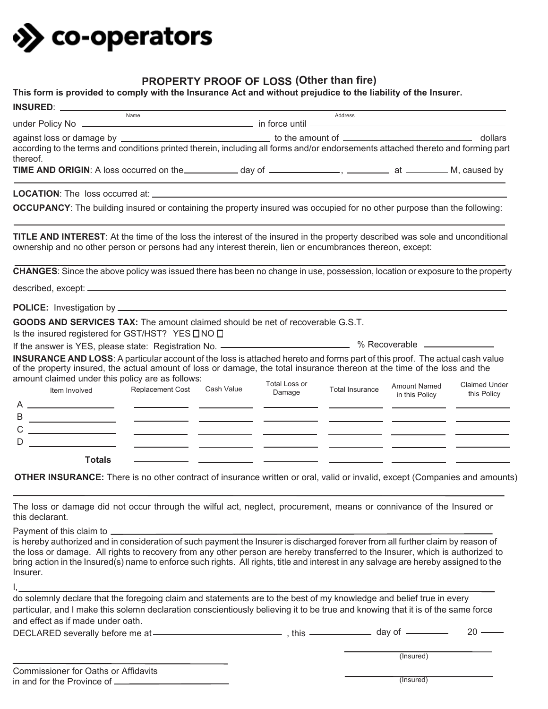

## **PROPERTY PROOF OF LOSS Other than fire) (**

| according to the terms and conditions printed therein, including all forms and/or endorsements attached thereto and forming part<br>thereof.<br>TIME AND ORIGIN: A loss occurred on the ____________ day of _______________, _________ at _________ M, caused by<br>OCCUPANCY: The building insured or containing the property insured was occupied for no other purpose than the following:<br><b>TITLE AND INTEREST:</b> At the time of the loss the interest of the insured in the property described was sole and unconditional<br>ownership and no other person or persons had any interest therein, lien or encumbrances thereon, except:<br>CHANGES: Since the above policy was issued there has been no change in use, possession, location or exposure to the property<br><b>GOODS AND SERVICES TAX:</b> The amount claimed should be net of recoverable G.S.T.<br>Is the insured registered for GST/HST? YES □ NO □<br>If the answer is YES, please state: Registration No. ———————————————— % Recoverable ———————<br>INSURANCE AND LOSS: A particular account of the loss is attached hereto and forms part of this proof. The actual cash value<br>of the property insured, the actual amount of loss or damage, the total insurance thereon at the time of the loss and the<br>amount claimed under this policy are as follows:<br><b>Total Loss or</b><br><b>Amount Named</b><br>Replacement Cost Cash Value<br><b>Total Insurance</b><br>Item Involved<br>Damage<br>this Policy<br>in this Policy<br>D.<br><b>Totals</b><br><b>OTHER INSURANCE:</b> There is no other contract of insurance written or oral, valid or invalid, except (Companies and amounts)<br>The loss or damage did not occur through the wilful act, neglect, procurement, means or connivance of the Insured or<br>is hereby authorized and in consideration of such payment the Insurer is discharged forever from all further claim by reason of<br>the loss or damage. All rights to recovery from any other person are hereby transferred to the Insurer, which is authorized to<br>bring action in the Insured(s) name to enforce such rights. All rights, title and interest in any salvage are hereby assigned to the<br>Insurer.<br>particular, and I make this solemn declaration conscientiously believing it to be true and knowing that it is of the same force<br>and effect as if made under oath.<br>$20 -$ | $\begin{picture}(180,10) \put(0,0){\line(1,0){100}} \put(15,0){\line(1,0){100}} \put(15,0){\line(1,0){100}} \put(15,0){\line(1,0){100}} \put(15,0){\line(1,0){100}} \put(15,0){\line(1,0){100}} \put(15,0){\line(1,0){100}} \put(15,0){\line(1,0){100}} \put(15,0){\line(1,0){100}} \put(15,0){\line(1,0){100}} \put(15,0){\line(1,0){100}}$ |  | and a series and a series and a series of the series of the series of the series of the series of the series of the series of the series of the series of the series of the series of the series of the series of the series o |           |                      |
|-----------------------------------------------------------------------------------------------------------------------------------------------------------------------------------------------------------------------------------------------------------------------------------------------------------------------------------------------------------------------------------------------------------------------------------------------------------------------------------------------------------------------------------------------------------------------------------------------------------------------------------------------------------------------------------------------------------------------------------------------------------------------------------------------------------------------------------------------------------------------------------------------------------------------------------------------------------------------------------------------------------------------------------------------------------------------------------------------------------------------------------------------------------------------------------------------------------------------------------------------------------------------------------------------------------------------------------------------------------------------------------------------------------------------------------------------------------------------------------------------------------------------------------------------------------------------------------------------------------------------------------------------------------------------------------------------------------------------------------------------------------------------------------------------------------------------------------------------------------------------------------------------------------------------------------------------------------------------------------------------------------------------------------------------------------------------------------------------------------------------------------------------------------------------------------------------------------------------------------------------------------------------------------------------------------------------------------------------------------------------------------------------------------------|----------------------------------------------------------------------------------------------------------------------------------------------------------------------------------------------------------------------------------------------------------------------------------------------------------------------------------------------|--|--------------------------------------------------------------------------------------------------------------------------------------------------------------------------------------------------------------------------------|-----------|----------------------|
|                                                                                                                                                                                                                                                                                                                                                                                                                                                                                                                                                                                                                                                                                                                                                                                                                                                                                                                                                                                                                                                                                                                                                                                                                                                                                                                                                                                                                                                                                                                                                                                                                                                                                                                                                                                                                                                                                                                                                                                                                                                                                                                                                                                                                                                                                                                                                                                                                 |                                                                                                                                                                                                                                                                                                                                              |  |                                                                                                                                                                                                                                |           |                      |
|                                                                                                                                                                                                                                                                                                                                                                                                                                                                                                                                                                                                                                                                                                                                                                                                                                                                                                                                                                                                                                                                                                                                                                                                                                                                                                                                                                                                                                                                                                                                                                                                                                                                                                                                                                                                                                                                                                                                                                                                                                                                                                                                                                                                                                                                                                                                                                                                                 |                                                                                                                                                                                                                                                                                                                                              |  |                                                                                                                                                                                                                                |           |                      |
|                                                                                                                                                                                                                                                                                                                                                                                                                                                                                                                                                                                                                                                                                                                                                                                                                                                                                                                                                                                                                                                                                                                                                                                                                                                                                                                                                                                                                                                                                                                                                                                                                                                                                                                                                                                                                                                                                                                                                                                                                                                                                                                                                                                                                                                                                                                                                                                                                 |                                                                                                                                                                                                                                                                                                                                              |  |                                                                                                                                                                                                                                |           |                      |
|                                                                                                                                                                                                                                                                                                                                                                                                                                                                                                                                                                                                                                                                                                                                                                                                                                                                                                                                                                                                                                                                                                                                                                                                                                                                                                                                                                                                                                                                                                                                                                                                                                                                                                                                                                                                                                                                                                                                                                                                                                                                                                                                                                                                                                                                                                                                                                                                                 |                                                                                                                                                                                                                                                                                                                                              |  |                                                                                                                                                                                                                                |           |                      |
|                                                                                                                                                                                                                                                                                                                                                                                                                                                                                                                                                                                                                                                                                                                                                                                                                                                                                                                                                                                                                                                                                                                                                                                                                                                                                                                                                                                                                                                                                                                                                                                                                                                                                                                                                                                                                                                                                                                                                                                                                                                                                                                                                                                                                                                                                                                                                                                                                 |                                                                                                                                                                                                                                                                                                                                              |  |                                                                                                                                                                                                                                |           |                      |
|                                                                                                                                                                                                                                                                                                                                                                                                                                                                                                                                                                                                                                                                                                                                                                                                                                                                                                                                                                                                                                                                                                                                                                                                                                                                                                                                                                                                                                                                                                                                                                                                                                                                                                                                                                                                                                                                                                                                                                                                                                                                                                                                                                                                                                                                                                                                                                                                                 |                                                                                                                                                                                                                                                                                                                                              |  |                                                                                                                                                                                                                                |           |                      |
|                                                                                                                                                                                                                                                                                                                                                                                                                                                                                                                                                                                                                                                                                                                                                                                                                                                                                                                                                                                                                                                                                                                                                                                                                                                                                                                                                                                                                                                                                                                                                                                                                                                                                                                                                                                                                                                                                                                                                                                                                                                                                                                                                                                                                                                                                                                                                                                                                 |                                                                                                                                                                                                                                                                                                                                              |  |                                                                                                                                                                                                                                |           |                      |
|                                                                                                                                                                                                                                                                                                                                                                                                                                                                                                                                                                                                                                                                                                                                                                                                                                                                                                                                                                                                                                                                                                                                                                                                                                                                                                                                                                                                                                                                                                                                                                                                                                                                                                                                                                                                                                                                                                                                                                                                                                                                                                                                                                                                                                                                                                                                                                                                                 |                                                                                                                                                                                                                                                                                                                                              |  |                                                                                                                                                                                                                                |           |                      |
|                                                                                                                                                                                                                                                                                                                                                                                                                                                                                                                                                                                                                                                                                                                                                                                                                                                                                                                                                                                                                                                                                                                                                                                                                                                                                                                                                                                                                                                                                                                                                                                                                                                                                                                                                                                                                                                                                                                                                                                                                                                                                                                                                                                                                                                                                                                                                                                                                 |                                                                                                                                                                                                                                                                                                                                              |  |                                                                                                                                                                                                                                |           |                      |
|                                                                                                                                                                                                                                                                                                                                                                                                                                                                                                                                                                                                                                                                                                                                                                                                                                                                                                                                                                                                                                                                                                                                                                                                                                                                                                                                                                                                                                                                                                                                                                                                                                                                                                                                                                                                                                                                                                                                                                                                                                                                                                                                                                                                                                                                                                                                                                                                                 |                                                                                                                                                                                                                                                                                                                                              |  |                                                                                                                                                                                                                                |           |                      |
|                                                                                                                                                                                                                                                                                                                                                                                                                                                                                                                                                                                                                                                                                                                                                                                                                                                                                                                                                                                                                                                                                                                                                                                                                                                                                                                                                                                                                                                                                                                                                                                                                                                                                                                                                                                                                                                                                                                                                                                                                                                                                                                                                                                                                                                                                                                                                                                                                 |                                                                                                                                                                                                                                                                                                                                              |  |                                                                                                                                                                                                                                |           |                      |
|                                                                                                                                                                                                                                                                                                                                                                                                                                                                                                                                                                                                                                                                                                                                                                                                                                                                                                                                                                                                                                                                                                                                                                                                                                                                                                                                                                                                                                                                                                                                                                                                                                                                                                                                                                                                                                                                                                                                                                                                                                                                                                                                                                                                                                                                                                                                                                                                                 |                                                                                                                                                                                                                                                                                                                                              |  |                                                                                                                                                                                                                                |           |                      |
|                                                                                                                                                                                                                                                                                                                                                                                                                                                                                                                                                                                                                                                                                                                                                                                                                                                                                                                                                                                                                                                                                                                                                                                                                                                                                                                                                                                                                                                                                                                                                                                                                                                                                                                                                                                                                                                                                                                                                                                                                                                                                                                                                                                                                                                                                                                                                                                                                 |                                                                                                                                                                                                                                                                                                                                              |  |                                                                                                                                                                                                                                |           |                      |
|                                                                                                                                                                                                                                                                                                                                                                                                                                                                                                                                                                                                                                                                                                                                                                                                                                                                                                                                                                                                                                                                                                                                                                                                                                                                                                                                                                                                                                                                                                                                                                                                                                                                                                                                                                                                                                                                                                                                                                                                                                                                                                                                                                                                                                                                                                                                                                                                                 |                                                                                                                                                                                                                                                                                                                                              |  |                                                                                                                                                                                                                                |           |                      |
|                                                                                                                                                                                                                                                                                                                                                                                                                                                                                                                                                                                                                                                                                                                                                                                                                                                                                                                                                                                                                                                                                                                                                                                                                                                                                                                                                                                                                                                                                                                                                                                                                                                                                                                                                                                                                                                                                                                                                                                                                                                                                                                                                                                                                                                                                                                                                                                                                 |                                                                                                                                                                                                                                                                                                                                              |  |                                                                                                                                                                                                                                |           |                      |
|                                                                                                                                                                                                                                                                                                                                                                                                                                                                                                                                                                                                                                                                                                                                                                                                                                                                                                                                                                                                                                                                                                                                                                                                                                                                                                                                                                                                                                                                                                                                                                                                                                                                                                                                                                                                                                                                                                                                                                                                                                                                                                                                                                                                                                                                                                                                                                                                                 |                                                                                                                                                                                                                                                                                                                                              |  |                                                                                                                                                                                                                                |           | <b>Claimed Under</b> |
|                                                                                                                                                                                                                                                                                                                                                                                                                                                                                                                                                                                                                                                                                                                                                                                                                                                                                                                                                                                                                                                                                                                                                                                                                                                                                                                                                                                                                                                                                                                                                                                                                                                                                                                                                                                                                                                                                                                                                                                                                                                                                                                                                                                                                                                                                                                                                                                                                 |                                                                                                                                                                                                                                                                                                                                              |  |                                                                                                                                                                                                                                |           |                      |
|                                                                                                                                                                                                                                                                                                                                                                                                                                                                                                                                                                                                                                                                                                                                                                                                                                                                                                                                                                                                                                                                                                                                                                                                                                                                                                                                                                                                                                                                                                                                                                                                                                                                                                                                                                                                                                                                                                                                                                                                                                                                                                                                                                                                                                                                                                                                                                                                                 |                                                                                                                                                                                                                                                                                                                                              |  |                                                                                                                                                                                                                                |           |                      |
|                                                                                                                                                                                                                                                                                                                                                                                                                                                                                                                                                                                                                                                                                                                                                                                                                                                                                                                                                                                                                                                                                                                                                                                                                                                                                                                                                                                                                                                                                                                                                                                                                                                                                                                                                                                                                                                                                                                                                                                                                                                                                                                                                                                                                                                                                                                                                                                                                 |                                                                                                                                                                                                                                                                                                                                              |  |                                                                                                                                                                                                                                |           |                      |
|                                                                                                                                                                                                                                                                                                                                                                                                                                                                                                                                                                                                                                                                                                                                                                                                                                                                                                                                                                                                                                                                                                                                                                                                                                                                                                                                                                                                                                                                                                                                                                                                                                                                                                                                                                                                                                                                                                                                                                                                                                                                                                                                                                                                                                                                                                                                                                                                                 |                                                                                                                                                                                                                                                                                                                                              |  |                                                                                                                                                                                                                                |           |                      |
|                                                                                                                                                                                                                                                                                                                                                                                                                                                                                                                                                                                                                                                                                                                                                                                                                                                                                                                                                                                                                                                                                                                                                                                                                                                                                                                                                                                                                                                                                                                                                                                                                                                                                                                                                                                                                                                                                                                                                                                                                                                                                                                                                                                                                                                                                                                                                                                                                 |                                                                                                                                                                                                                                                                                                                                              |  |                                                                                                                                                                                                                                |           |                      |
|                                                                                                                                                                                                                                                                                                                                                                                                                                                                                                                                                                                                                                                                                                                                                                                                                                                                                                                                                                                                                                                                                                                                                                                                                                                                                                                                                                                                                                                                                                                                                                                                                                                                                                                                                                                                                                                                                                                                                                                                                                                                                                                                                                                                                                                                                                                                                                                                                 |                                                                                                                                                                                                                                                                                                                                              |  |                                                                                                                                                                                                                                |           |                      |
|                                                                                                                                                                                                                                                                                                                                                                                                                                                                                                                                                                                                                                                                                                                                                                                                                                                                                                                                                                                                                                                                                                                                                                                                                                                                                                                                                                                                                                                                                                                                                                                                                                                                                                                                                                                                                                                                                                                                                                                                                                                                                                                                                                                                                                                                                                                                                                                                                 |                                                                                                                                                                                                                                                                                                                                              |  |                                                                                                                                                                                                                                |           |                      |
|                                                                                                                                                                                                                                                                                                                                                                                                                                                                                                                                                                                                                                                                                                                                                                                                                                                                                                                                                                                                                                                                                                                                                                                                                                                                                                                                                                                                                                                                                                                                                                                                                                                                                                                                                                                                                                                                                                                                                                                                                                                                                                                                                                                                                                                                                                                                                                                                                 | this declarant.                                                                                                                                                                                                                                                                                                                              |  |                                                                                                                                                                                                                                |           |                      |
|                                                                                                                                                                                                                                                                                                                                                                                                                                                                                                                                                                                                                                                                                                                                                                                                                                                                                                                                                                                                                                                                                                                                                                                                                                                                                                                                                                                                                                                                                                                                                                                                                                                                                                                                                                                                                                                                                                                                                                                                                                                                                                                                                                                                                                                                                                                                                                                                                 |                                                                                                                                                                                                                                                                                                                                              |  |                                                                                                                                                                                                                                |           |                      |
|                                                                                                                                                                                                                                                                                                                                                                                                                                                                                                                                                                                                                                                                                                                                                                                                                                                                                                                                                                                                                                                                                                                                                                                                                                                                                                                                                                                                                                                                                                                                                                                                                                                                                                                                                                                                                                                                                                                                                                                                                                                                                                                                                                                                                                                                                                                                                                                                                 |                                                                                                                                                                                                                                                                                                                                              |  |                                                                                                                                                                                                                                |           |                      |
|                                                                                                                                                                                                                                                                                                                                                                                                                                                                                                                                                                                                                                                                                                                                                                                                                                                                                                                                                                                                                                                                                                                                                                                                                                                                                                                                                                                                                                                                                                                                                                                                                                                                                                                                                                                                                                                                                                                                                                                                                                                                                                                                                                                                                                                                                                                                                                                                                 |                                                                                                                                                                                                                                                                                                                                              |  |                                                                                                                                                                                                                                |           |                      |
|                                                                                                                                                                                                                                                                                                                                                                                                                                                                                                                                                                                                                                                                                                                                                                                                                                                                                                                                                                                                                                                                                                                                                                                                                                                                                                                                                                                                                                                                                                                                                                                                                                                                                                                                                                                                                                                                                                                                                                                                                                                                                                                                                                                                                                                                                                                                                                                                                 |                                                                                                                                                                                                                                                                                                                                              |  |                                                                                                                                                                                                                                |           |                      |
|                                                                                                                                                                                                                                                                                                                                                                                                                                                                                                                                                                                                                                                                                                                                                                                                                                                                                                                                                                                                                                                                                                                                                                                                                                                                                                                                                                                                                                                                                                                                                                                                                                                                                                                                                                                                                                                                                                                                                                                                                                                                                                                                                                                                                                                                                                                                                                                                                 |                                                                                                                                                                                                                                                                                                                                              |  |                                                                                                                                                                                                                                |           |                      |
|                                                                                                                                                                                                                                                                                                                                                                                                                                                                                                                                                                                                                                                                                                                                                                                                                                                                                                                                                                                                                                                                                                                                                                                                                                                                                                                                                                                                                                                                                                                                                                                                                                                                                                                                                                                                                                                                                                                                                                                                                                                                                                                                                                                                                                                                                                                                                                                                                 |                                                                                                                                                                                                                                                                                                                                              |  |                                                                                                                                                                                                                                |           |                      |
|                                                                                                                                                                                                                                                                                                                                                                                                                                                                                                                                                                                                                                                                                                                                                                                                                                                                                                                                                                                                                                                                                                                                                                                                                                                                                                                                                                                                                                                                                                                                                                                                                                                                                                                                                                                                                                                                                                                                                                                                                                                                                                                                                                                                                                                                                                                                                                                                                 |                                                                                                                                                                                                                                                                                                                                              |  |                                                                                                                                                                                                                                |           |                      |
|                                                                                                                                                                                                                                                                                                                                                                                                                                                                                                                                                                                                                                                                                                                                                                                                                                                                                                                                                                                                                                                                                                                                                                                                                                                                                                                                                                                                                                                                                                                                                                                                                                                                                                                                                                                                                                                                                                                                                                                                                                                                                                                                                                                                                                                                                                                                                                                                                 |                                                                                                                                                                                                                                                                                                                                              |  |                                                                                                                                                                                                                                |           |                      |
|                                                                                                                                                                                                                                                                                                                                                                                                                                                                                                                                                                                                                                                                                                                                                                                                                                                                                                                                                                                                                                                                                                                                                                                                                                                                                                                                                                                                                                                                                                                                                                                                                                                                                                                                                                                                                                                                                                                                                                                                                                                                                                                                                                                                                                                                                                                                                                                                                 |                                                                                                                                                                                                                                                                                                                                              |  |                                                                                                                                                                                                                                | (Insured) |                      |